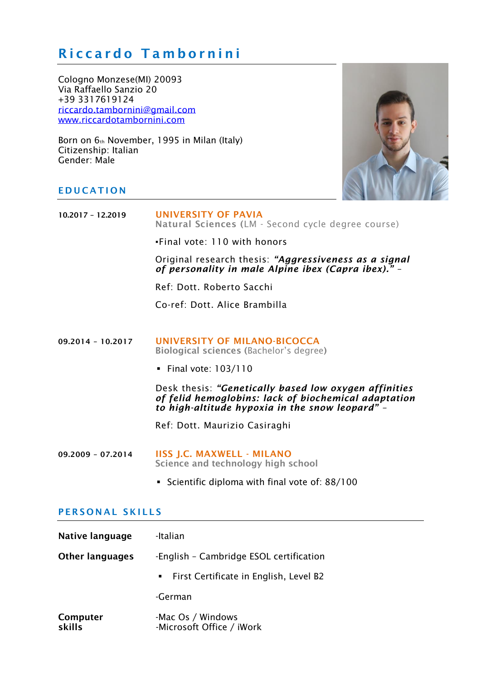# Riccardo Tambornini

Cologno Monzese(MI) 20093 Via Raffaello Sanzio 20 +39 3317619124 [riccardo.tambornini@gmail.com](mailto:riccardo.tambornini@gmail.com) [www.riccardotambornini.com](http://www.riccardotambornini.com/)

Born on 6th November, 1995 in Milan (Italy) Citizenship: Italian Gender: Male



# **EDUCATION**

| $10.2017 - 12.2019$ | UNIVERSITY OF PAVIA<br>Natural Sciences (LM - Second cycle degree course)                                                                                        |
|---------------------|------------------------------------------------------------------------------------------------------------------------------------------------------------------|
|                     | . Final vote: 110 with honors                                                                                                                                    |
|                     | Original research thesis: "Aggressiveness as a signal<br>of personality in male Alpine ibex (Capra ibex)." -                                                     |
|                     | Ref: Dott. Roberto Sacchi                                                                                                                                        |
|                     | Co-ref: Dott. Alice Brambilla                                                                                                                                    |
|                     |                                                                                                                                                                  |
| $09.2014 - 10.2017$ | UNIVERSITY OF MILANO-BICOCCA<br>Biological sciences (Bachelor's degree)                                                                                          |
|                     | Final vote: $103/110$                                                                                                                                            |
|                     | Desk thesis: "Genetically based low oxygen affinities<br>of felid hemoglobins: lack of biochemical adaptation<br>to high-altitude hypoxia in the snow leopard" - |
|                     | Ref: Dott. Maurizio Casiraghi                                                                                                                                    |
| $09.2009 - 07.2014$ | <b>IISS J.C. MAXWELL - MILANO</b><br>Science and technology high school                                                                                          |
|                     | • Scientific diploma with final vote of: 88/100                                                                                                                  |
|                     |                                                                                                                                                                  |

# PERSONAL SKILLS

| Native language        | -Italian                                       |
|------------------------|------------------------------------------------|
| <b>Other languages</b> | -English - Cambridge ESOL certification        |
|                        | • First Certificate in English, Level B2       |
|                        | -German                                        |
| Computer<br>skills     | -Mac Os / Windows<br>-Microsoft Office / iWork |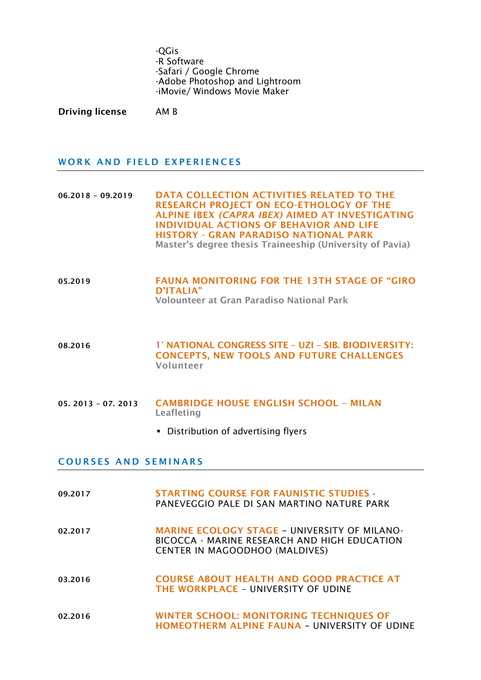-QGis -R Software -Safari / Google Chrome -Adobe Photoshop and Lightroom -iMovie/ Windows Movie Maker

Driving license AM B

#### WORK AND FIELD EXPERIENCES

06.2018 – 09.2019 DATA COLLECTION ACTIVITIES RELATED TO THE RESEARCH PROJECT ON ECO-ETHOLOGY OF THE ALPINE IBEX *(CAPRA IBEX)* AIMED AT INVESTIGATING INDIVIDUAL ACTIONS OF BEHAVIOR AND LIFE HISTORY - GRAN PARADISO NATIONAL PARK Master's degree thesis Traineeship (University of Pavia)

- 05.2019 FAUNA MONITORING FOR THE 13TH STAGE OF "GIRO D'ITALIA" Volounteer at Gran Paradiso National Park
- 08.2016 1° NATIONAL CONGRESS SITE UZI SIB. BIODIVERSITY: CONCEPTS, NEW TOOLS AND FUTURE CHALLENGES Volunteer
- 05. 2013 07. 2013 CAMBRIDGE HOUSE ENGLISH SCHOOL MILAN Leafleting
	- Distribution of advertising flyers

#### **COURSES AND SEMINARS**

- 09.2017 STARTING COURSE FOR FAUNISTIC STUDIES PANEVEGGIO PALE DI SAN MARTINO NATURE PARK
- 02.2017 MARINE ECOLOGY STAGE UNIVERSITY OF MILANO-BICOCCA - MARINE RESEARCH AND HIGH EDUCATION CENTER IN MAGOODHOO (MALDIVES)
- 03.2016 COURSE ABOUT HEALTH AND GOOD PRACTICE AT THE WORKPLACE – UNIVERSITY OF UDINE
- 02.2016 WINTER SCHOOL: MONITORING TECHNIQUES OF HOMEOTHERM ALPINE FAUNA – UNIVERSITY OF UDINE